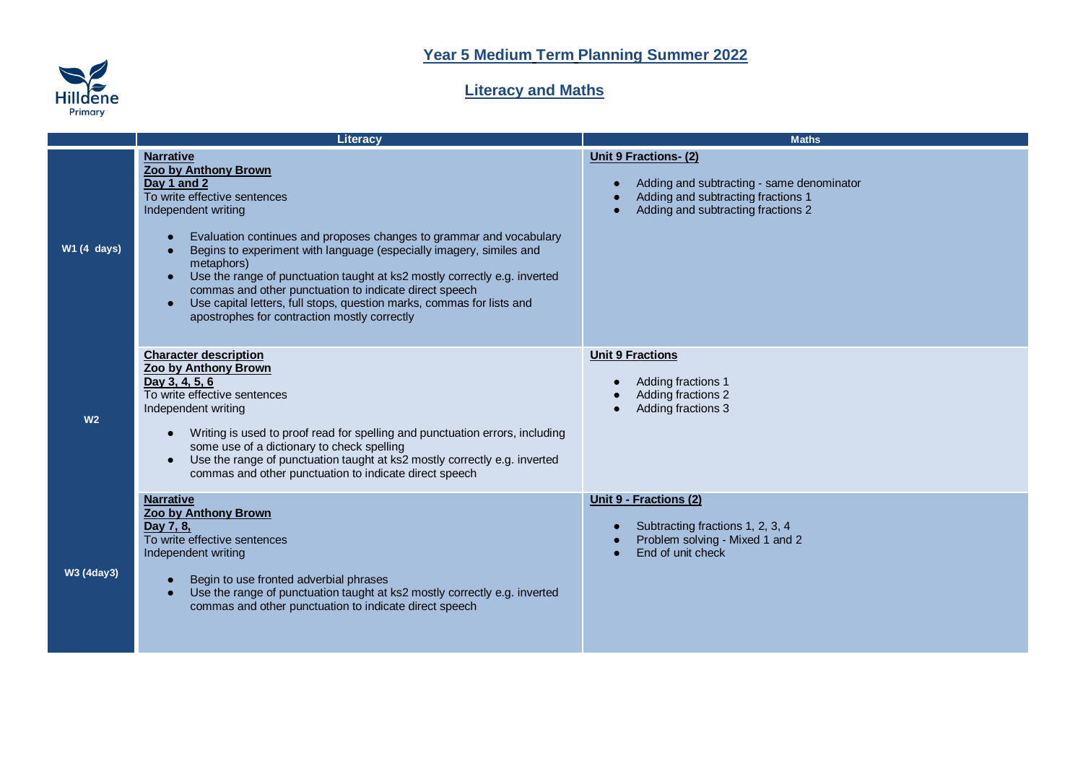

## **Literacy and Maths**

|                    | Literacy                                                                                                                                                                                                                                                                                                                                                                                                                                                                                                                                                                                       | <b>Maths</b>                                                                                                                                                      |
|--------------------|------------------------------------------------------------------------------------------------------------------------------------------------------------------------------------------------------------------------------------------------------------------------------------------------------------------------------------------------------------------------------------------------------------------------------------------------------------------------------------------------------------------------------------------------------------------------------------------------|-------------------------------------------------------------------------------------------------------------------------------------------------------------------|
| <b>W1 (4 days)</b> | <b>Narrative</b><br>Zoo by Anthony Brown<br>Day 1 and 2<br>To write effective sentences<br>Independent writing<br>Evaluation continues and proposes changes to grammar and vocabulary<br>$\bullet$<br>Begins to experiment with language (especially imagery, similes and<br>$\bullet$<br>metaphors)<br>Use the range of punctuation taught at ks2 mostly correctly e.g. inverted<br>$\bullet$<br>commas and other punctuation to indicate direct speech<br>Use capital letters, full stops, question marks, commas for lists and<br>$\bullet$<br>apostrophes for contraction mostly correctly | <b>Unit 9 Fractions-(2)</b><br>Adding and subtracting - same denominator<br>$\bullet$<br>Adding and subtracting fractions 1<br>Adding and subtracting fractions 2 |
| W <sub>2</sub>     | <b>Character description</b><br>Zoo by Anthony Brown<br>Day 3, 4, 5, 6<br>To write effective sentences<br>Independent writing<br>Writing is used to proof read for spelling and punctuation errors, including<br>$\bullet$<br>some use of a dictionary to check spelling<br>Use the range of punctuation taught at ks2 mostly correctly e.g. inverted<br>$\bullet$<br>commas and other punctuation to indicate direct speech                                                                                                                                                                   | <b>Unit 9 Fractions</b><br>Adding fractions 1<br>$\bullet$<br>Adding fractions 2<br>Adding fractions 3                                                            |
| <b>W3 (4day3)</b>  | <b>Narrative</b><br>Zoo by Anthony Brown<br>Day 7, 8,<br>To write effective sentences<br>Independent writing<br>Begin to use fronted adverbial phrases<br>$\bullet$<br>Use the range of punctuation taught at ks2 mostly correctly e.g. inverted<br>$\bullet$<br>commas and other punctuation to indicate direct speech                                                                                                                                                                                                                                                                        | Unit 9 - Fractions (2)<br>Subtracting fractions 1, 2, 3, 4<br>Problem solving - Mixed 1 and 2<br>End of unit check<br>$\bullet$                                   |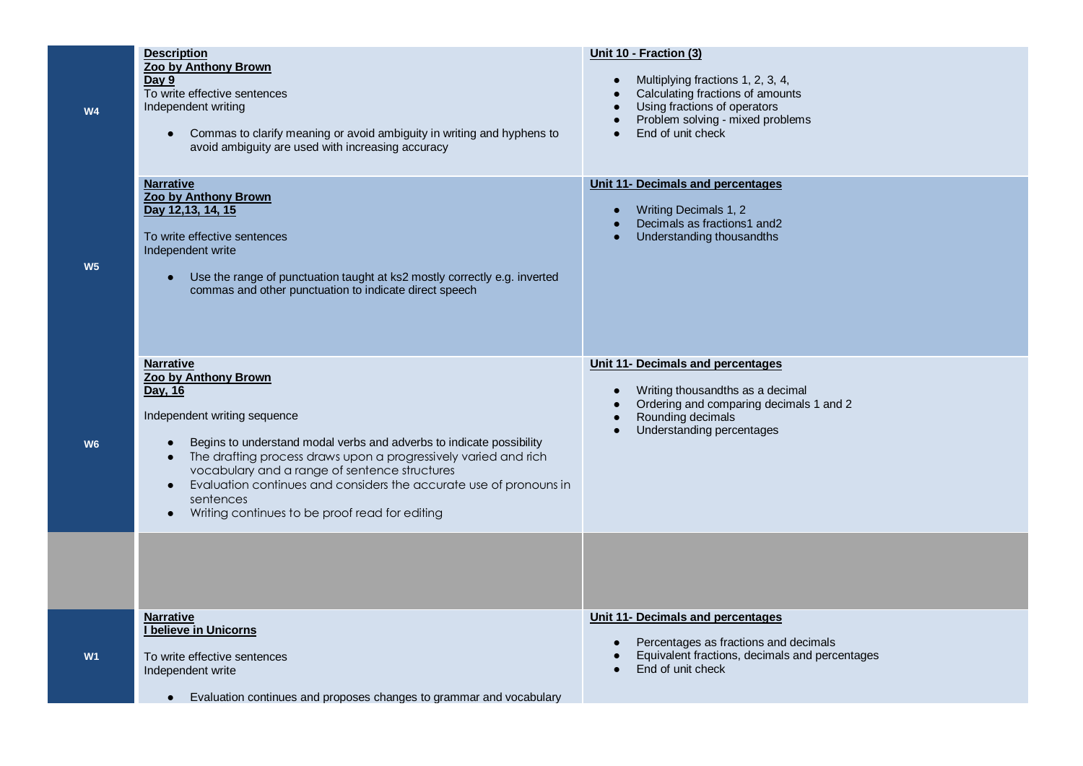| <b>W4</b>      | <b>Description</b><br>Zoo by Anthony Brown<br>Day 9<br>To write effective sentences<br>Independent writing<br>Commas to clarify meaning or avoid ambiguity in writing and hyphens to<br>$\bullet$<br>avoid ambiguity are used with increasing accuracy                                                                                                                                                                                         | Unit 10 - Fraction (3)<br>Multiplying fractions 1, 2, 3, 4,<br>Calculating fractions of amounts<br>Using fractions of operators<br>Problem solving - mixed problems<br>End of unit check                               |
|----------------|------------------------------------------------------------------------------------------------------------------------------------------------------------------------------------------------------------------------------------------------------------------------------------------------------------------------------------------------------------------------------------------------------------------------------------------------|------------------------------------------------------------------------------------------------------------------------------------------------------------------------------------------------------------------------|
| W <sub>5</sub> | <b>Narrative</b><br>Zoo by Anthony Brown<br>Day 12,13, 14, 15<br>To write effective sentences<br>Independent write<br>Use the range of punctuation taught at ks2 mostly correctly e.g. inverted<br>commas and other punctuation to indicate direct speech                                                                                                                                                                                      | Unit 11- Decimals and percentages<br>Writing Decimals 1, 2<br>$\bullet$<br>Decimals as fractions1 and2<br>Understanding thousandths                                                                                    |
| W <sub>6</sub> | <b>Narrative</b><br>Zoo by Anthony Brown<br>Day, 16<br>Independent writing sequence<br>Begins to understand modal verbs and adverbs to indicate possibility<br>The drafting process draws upon a progressively varied and rich<br>vocabulary and a range of sentence structures<br>Evaluation continues and considers the accurate use of pronouns in<br>$\bullet$<br>sentences<br>Writing continues to be proof read for editing<br>$\bullet$ | Unit 11- Decimals and percentages<br>Writing thousandths as a decimal<br>$\bullet$<br>Ordering and comparing decimals 1 and 2<br>$\bullet$<br>Rounding decimals<br>$\bullet$<br>Understanding percentages<br>$\bullet$ |
|                |                                                                                                                                                                                                                                                                                                                                                                                                                                                |                                                                                                                                                                                                                        |
| W1             | <b>Narrative</b><br>I believe in Unicorns<br>To write effective sentences<br>Independent write<br>Evaluation continues and proposes changes to grammar and vocabulary<br>$\bullet$                                                                                                                                                                                                                                                             | Unit 11- Decimals and percentages<br>Percentages as fractions and decimals<br>Equivalent fractions, decimals and percentages<br>End of unit check<br>$\bullet$                                                         |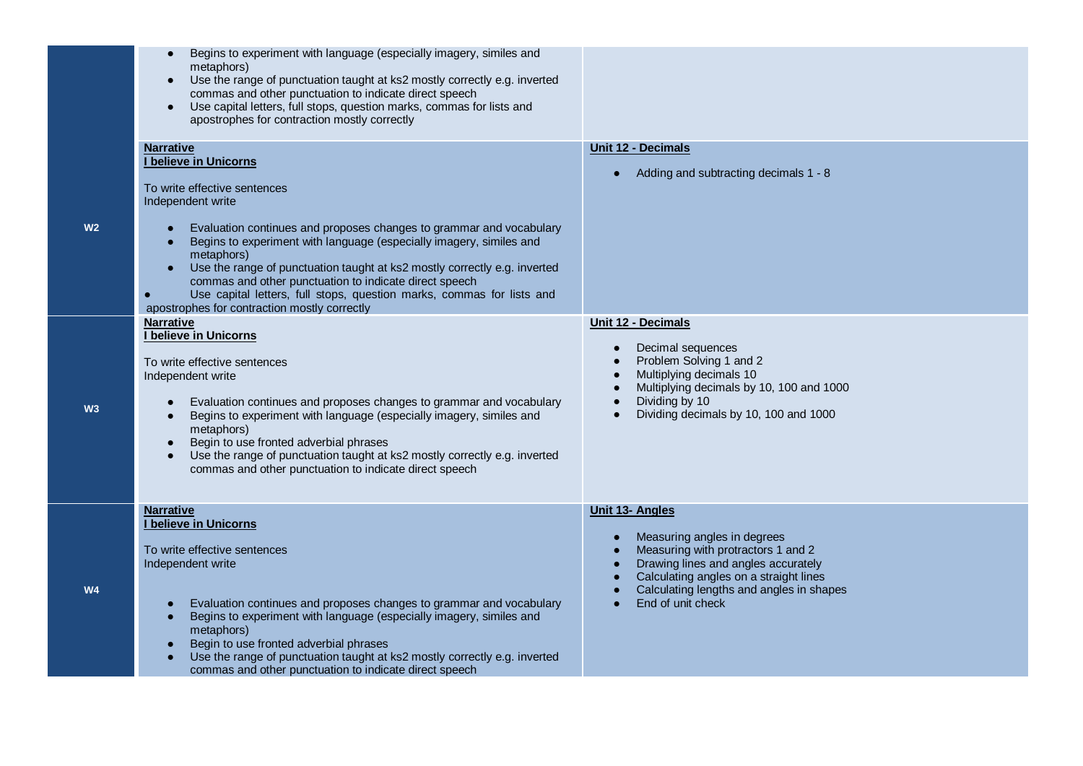| Begins to experiment with language (especially imagery, similes and<br>metaphors)<br>Use the range of punctuation taught at ks2 mostly correctly e.g. inverted<br>$\bullet$<br>commas and other punctuation to indicate direct speech<br>Use capital letters, full stops, question marks, commas for lists and<br>apostrophes for contraction mostly correctly                                                                                                                                                                                                                                                               |                                                                                                                                                                                                                                                            |
|------------------------------------------------------------------------------------------------------------------------------------------------------------------------------------------------------------------------------------------------------------------------------------------------------------------------------------------------------------------------------------------------------------------------------------------------------------------------------------------------------------------------------------------------------------------------------------------------------------------------------|------------------------------------------------------------------------------------------------------------------------------------------------------------------------------------------------------------------------------------------------------------|
| <b>Narrative</b><br>I believe in Unicorns<br>To write effective sentences<br>Independent write<br>Evaluation continues and proposes changes to grammar and vocabulary<br>Begins to experiment with language (especially imagery, similes and<br>metaphors)<br>Use the range of punctuation taught at ks2 mostly correctly e.g. inverted<br>commas and other punctuation to indicate direct speech<br>Use capital letters, full stops, question marks, commas for lists and<br>apostrophes for contraction mostly correctly<br><b>Narrative</b><br>I believe in Unicorns<br>To write effective sentences<br>Independent write | Unit 12 - Decimals<br>Adding and subtracting decimals 1 - 8<br>Unit 12 - Decimals<br>Decimal sequences<br>$\bullet$<br>Problem Solving 1 and 2<br>Multiplying decimals 10<br>Multiplying decimals by 10, 100 and 1000                                      |
| Evaluation continues and proposes changes to grammar and vocabulary<br>Begins to experiment with language (especially imagery, similes and<br>$\bullet$<br>metaphors)<br>Begin to use fronted adverbial phrases<br>$\bullet$<br>Use the range of punctuation taught at ks2 mostly correctly e.g. inverted<br>commas and other punctuation to indicate direct speech                                                                                                                                                                                                                                                          | Dividing by 10<br>Dividing decimals by 10, 100 and 1000                                                                                                                                                                                                    |
| <b>Narrative</b><br>I believe in Unicorns<br>To write effective sentences<br>Independent write<br>Evaluation continues and proposes changes to grammar and vocabulary<br>Begins to experiment with language (especially imagery, similes and<br>metaphors)<br>Begin to use fronted adverbial phrases<br>Use the range of punctuation taught at ks2 mostly correctly e.g. inverted<br>commas and other punctuation to indicate direct speech                                                                                                                                                                                  | <b>Unit 13- Angles</b><br>Measuring angles in degrees<br>Measuring with protractors 1 and 2<br>Drawing lines and angles accurately<br>Calculating angles on a straight lines<br>Calculating lengths and angles in shapes<br>End of unit check<br>$\bullet$ |

**W2**

**W3**

**W4**